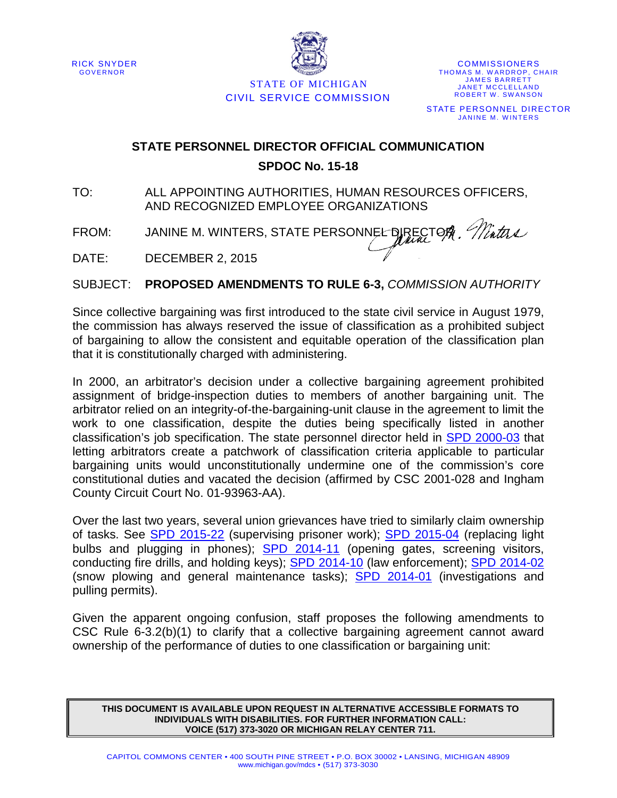RICK SNYDER GOVERNOR



STATE OF MICHIGAN CIVIL SERVICE COMMISSION

**COMMISSIONERS** THOMAS M. WARDROP, CHAIR JAMES BARRETT JANET MCCLELLAND ROBERT W. SWANSON STATE PERSONNEL DIRECTOR JANINE M. WINTERS

## **STATE PERSONNEL DIRECTOR OFFICIAL COMMUNICATION SPDOC No. 15-18**

TO: ALL APPOINTING AUTHORITIES, HUMAN RESOURCES OFFICERS, AND RECOGNIZED EMPLOYEE ORGANIZATIONS

FROM: JANINE M. WINTERS, STATE PERSONNEL DIRECTOR, Maths

DATE: DECEMBER 2, 2015

SUBJECT: **PROPOSED AMENDMENTS TO RULE 6-3,** *COMMISSION AUTHORITY*

Since collective bargaining was first introduced to the state civil service in August 1979, the commission has always reserved the issue of classification as a prohibited subject of bargaining to allow the consistent and equitable operation of the classification plan that it is constitutionally charged with administering.

In 2000, an arbitrator's decision under a collective bargaining agreement prohibited assignment of bridge-inspection duties to members of another bargaining unit. The arbitrator relied on an integrity-of-the-bargaining-unit clause in the agreement to limit the work to one classification, despite the duties being specifically listed in another classification's job specification. The state personnel director held in [SPD 2000-03](http://civilservice.state.mi.us/nxt/nxt.asp?SPD%202000-03) that letting arbitrators create a patchwork of classification criteria applicable to particular bargaining units would unconstitutionally undermine one of the commission's core constitutional duties and vacated the decision (affirmed by CSC 2001-028 and Ingham County Circuit Court No. 01-93963-AA).

Over the last two years, several union grievances have tried to similarly claim ownership of tasks. See **[SPD 2015-22](http://civilservice.state.mi.us/nxt/nxt.asp?SPD%202015-22)** (supervising prisoner work); **[SPD 2015-04](http://civilservice.state.mi.us/nxt/nxt.asp?SPD%202015-04)** (replacing light bulbs and plugging in phones); [SPD 2014-11](http://civilservice.state.mi.us/nxt/nxt.asp?SPD%202014-11) (opening gates, screening visitors, conducting fire drills, and holding keys); [SPD 2014-10](http://civilservice.state.mi.us/nxt/nxt.asp?SPD%202014-10) (law enforcement); [SPD 2014-02](http://civilservice.state.mi.us/nxt/nxt.asp?SPD%202014-02) (snow plowing and general maintenance tasks); [SPD 2014-01](http://civilservice.state.mi.us/nxt/nxt.asp?SPD%202014-01) (investigations and pulling permits).

Given the apparent ongoing confusion, staff proposes the following amendments to CSC Rule 6-3.2(b)(1) to clarify that a collective bargaining agreement cannot award ownership of the performance of duties to one classification or bargaining unit:

**THIS DOCUMENT IS AVAILABLE UPON REQUEST IN ALTERNATIVE ACCESSIBLE FORMATS TO INDIVIDUALS WITH DISABILITIES. FOR FURTHER INFORMATION CALL: VOICE (517) 373-3020 OR MICHIGAN RELAY CENTER 711.**